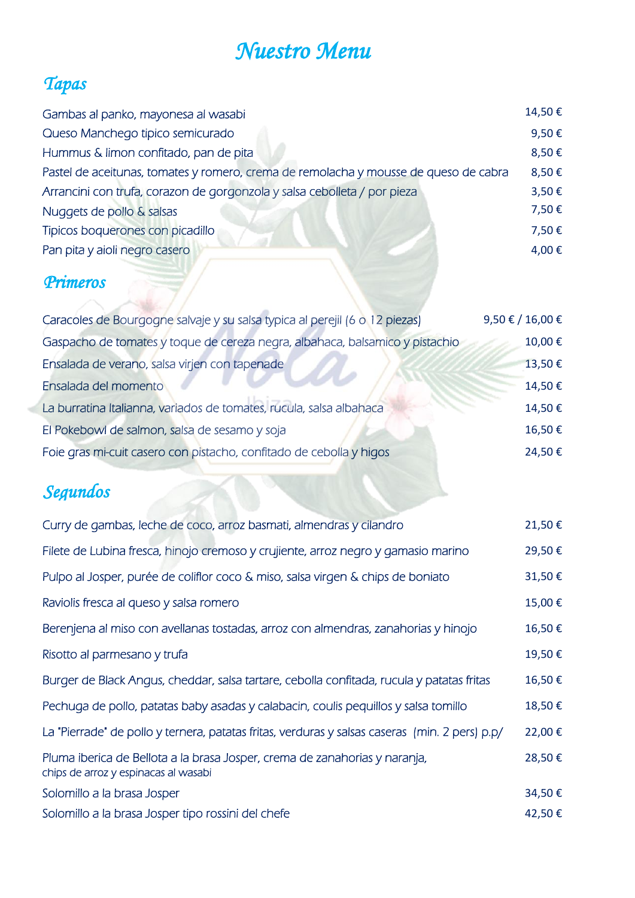## *Nuestro Menu*

### *Tapas*

| Gambas al panko, mayonesa al wasabi                                                  | 14,50€ |
|--------------------------------------------------------------------------------------|--------|
| Queso Manchego tipico semicurado                                                     | 9,50€  |
| Hummus & limon confitado, pan de pita                                                | 8,50€  |
| Pastel de aceitunas, tomates y romero, crema de remolacha y mousse de queso de cabra | 8,50€  |
| Arrancini con trufa, corazon de gorgonzola y salsa cebolleta / por pieza             | 3,50€  |
| Nuggets de pollo & salsas                                                            | 7,50€  |
| Tipicos boquerones con picadillo                                                     | 7,50€  |
| Pan pita y aioli negro casero                                                        | 4,00€  |
| <b>Primeros</b>                                                                      |        |

| Caracoles de Bourgogne salvaje y su salsa typica al perejil (6 o 12 piezas)  | 9,50 € / 16,00 € |
|------------------------------------------------------------------------------|------------------|
| Gaspacho de tomates y toque de cereza negra, albahaca, balsamico y pistachio | 10,00€           |
| Ensalada de verano, salsa virjen con tapenade                                | 13,50€           |
| Ensalada del momento                                                         | 14,50€           |
| La burratina Italianna, variados de tomates, rucula, salsa albahaca          | 14,50€           |
| El Pokebowl de salmon, salsa de sesamo y soja                                | 16,50€           |
| Foie gras mi-cuit casero con pistacho, confitado de cebolla y higos          | 24,50€           |
|                                                                              |                  |

### *Segundos*

| Curry de gambas, leche de coco, arroz basmati, almendras y cilandro                                                | 21,50€ |
|--------------------------------------------------------------------------------------------------------------------|--------|
| Filete de Lubina fresca, hinojo cremoso y crujiente, arroz negro y gamasio marino                                  | 29,50€ |
| Pulpo al Josper, purée de coliflor coco & miso, salsa virgen & chips de boniato                                    | 31,50€ |
| Raviolis fresca al queso y salsa romero                                                                            | 15,00€ |
| Berenjena al miso con avellanas tostadas, arroz con almendras, zanahorias y hinojo                                 | 16,50€ |
| Risotto al parmesano y trufa                                                                                       | 19,50€ |
| Burger de Black Angus, cheddar, salsa tartare, cebolla confitada, rucula y patatas fritas                          | 16,50€ |
| Pechuga de pollo, patatas baby asadas y calabacin, coulis pequillos y salsa tomillo                                | 18,50€ |
| La "Pierrade" de pollo y ternera, patatas fritas, verduras y salsas caseras (min. 2 pers) p.p/                     | 22,00€ |
| Pluma iberica de Bellota a la brasa Josper, crema de zanahorias y naranja,<br>chips de arroz y espinacas al wasabi | 28,50€ |
| Solomillo a la brasa Josper                                                                                        | 34,50€ |
| Solomillo a la brasa Josper tipo rossini del chefe                                                                 | 42,50€ |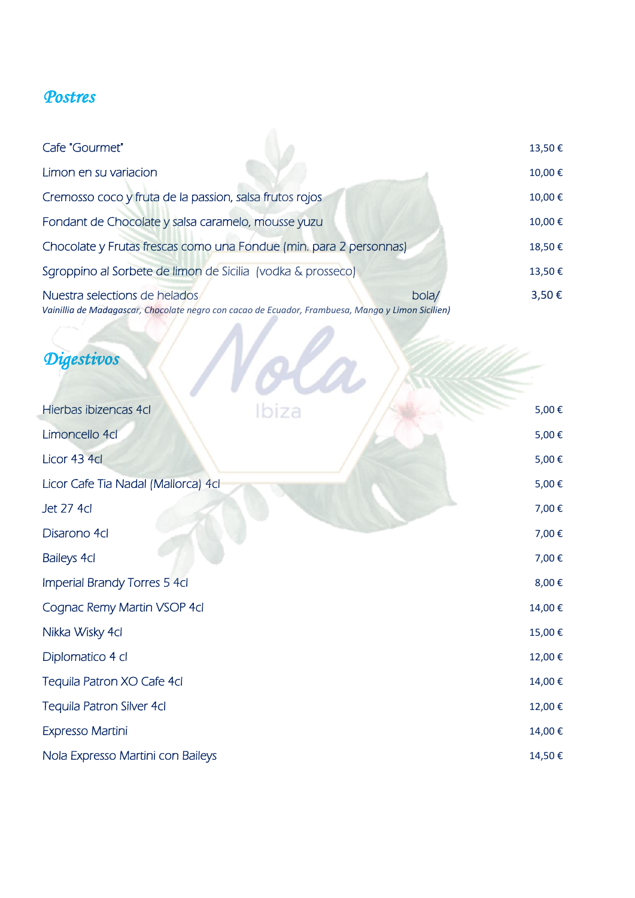#### *Postres*

| Cafe "Gourmet"                                                                                                                     |      | 13,50€ |
|------------------------------------------------------------------------------------------------------------------------------------|------|--------|
| Limon en su variacion                                                                                                              |      | 10,00€ |
| Cremosso coco y fruta de la passion, salsa frutos rojos                                                                            |      | 10,00€ |
| Fondant de Chocolate y salsa caramelo, mousse yuzu                                                                                 |      | 10,00€ |
| Chocolate y Frutas frescas como una Fondue (min. para 2 personnas)                                                                 |      | 18,50€ |
| Sgroppino al Sorbete de limon de Sicilia (vodka & prosseco)                                                                        |      | 13,50€ |
| Nuestra selections de helados<br>Vainillia de Madagascar, Chocolate negro con cacao de Ecuador, Frambuesa, Mango y Limon Sicilien) | bola | 3,50€  |

*Digestivos*

| Hierbas ibizencas 4cl               | Ibiza | 5,00€  |
|-------------------------------------|-------|--------|
| Limoncello 4cl                      |       | 5,00€  |
| Licor 43 4cl                        |       | 5,00€  |
| Licor Cafe Tia Nadal (Mallorca) 4cl |       | 5,00€  |
| <b>Jet 27 4cl</b>                   |       | 7,00€  |
| Disarono 4cl                        |       | 7,00€  |
| Baileys 4cl                         |       | 7,00€  |
| Imperial Brandy Torres 5 4cl        |       | 8,00€  |
| Cognac Remy Martin VSOP 4cl         |       | 14,00€ |
| Nikka Wisky 4cl                     |       | 15,00€ |
| Diplomatico 4 cl                    |       | 12,00€ |
| Tequila Patron XO Cafe 4cl          |       | 14,00€ |
| Tequila Patron Silver 4cl           |       | 12,00€ |
| Expresso Martini                    |       | 14,00€ |
| Nola Expresso Martini con Baileys   |       | 14,50€ |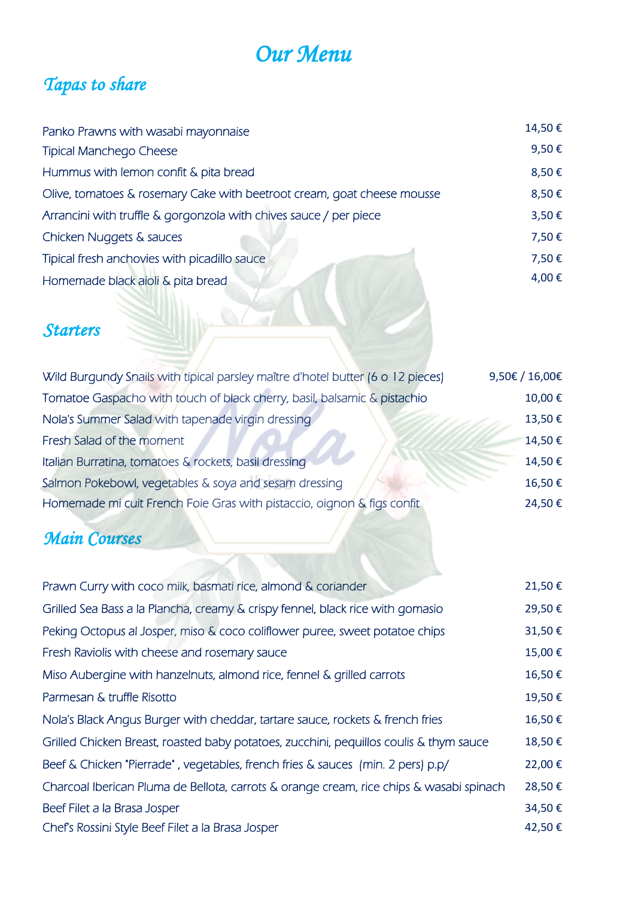## *Our Menu*

### *Tapas to share*

| Panko Prawns with wasabi mayonnaise                                     | 14,50€ |
|-------------------------------------------------------------------------|--------|
| <b>Tipical Manchego Cheese</b>                                          | 9,50€  |
| Hummus with lemon confit & pita bread                                   | 8,50€  |
| Olive, tomatoes & rosemary Cake with beetroot cream, goat cheese mousse | 8,50€  |
| Arrancini with truffle & gorgonzola with chives sauce / per piece       | 3,50€  |
| Chicken Nuggets & sauces                                                | 7,50€  |
| Tipical fresh anchovies with picadillo sauce                            | 7,50€  |
| Homemade black aioli & pita bread                                       | 4,00€  |
|                                                                         |        |

### *Starters*

| Wild Burgundy Snails with tipical parsley maître d'hotel butter (6 o 12 pieces) | 9,50€ / 16,00€ |
|---------------------------------------------------------------------------------|----------------|
| Tomatoe Gaspacho with touch of black cherry, basil, balsamic & pistachio        | 10,00€         |
| Nola's Summer Salad with tapenade virgin dressing                               | 13,50€         |
| Fresh Salad of the moment                                                       | 14,50€         |
| Italian Burratina, tomatoes & rockets, basil dressing                           | 14,50€         |
| Salmon Pokebowl, vegetables & soya and sesam dressing                           | 16,50€         |
| Homemade mi cuit French Foie Gras with pistaccio, oignon & figs confit          | 24,50€         |
|                                                                                 |                |

### *Main Courses*

| Prawn Curry with coco milk, basmati rice, almond & coriander                            | 21,50€ |
|-----------------------------------------------------------------------------------------|--------|
| Grilled Sea Bass a la Plancha, creamy & crispy fennel, black rice with gomasio          | 29,50€ |
| Peking Octopus al Josper, miso & coco coliflower puree, sweet potatoe chips             | 31,50€ |
| Fresh Raviolis with cheese and rosemary sauce                                           | 15,00€ |
| Miso Aubergine with hanzelnuts, almond rice, fennel & grilled carrots                   | 16,50€ |
| Parmesan & truffle Risotto                                                              | 19,50€ |
| Nola's Black Angus Burger with cheddar, tartare sauce, rockets & french fries           | 16,50€ |
| Grilled Chicken Breast, roasted baby potatoes, zucchini, pequillos coulis & thym sauce  | 18,50€ |
| Beef & Chicken "Pierrade", vegetables, french fries & sauces (min. 2 pers) p.p/         | 22,00€ |
| Charcoal Iberican Pluma de Bellota, carrots & orange cream, rice chips & wasabi spinach | 28,50€ |
| Beef Filet a la Brasa Josper                                                            | 34,50€ |
| Chef's Rossini Style Beef Filet a la Brasa Josper                                       | 42,50€ |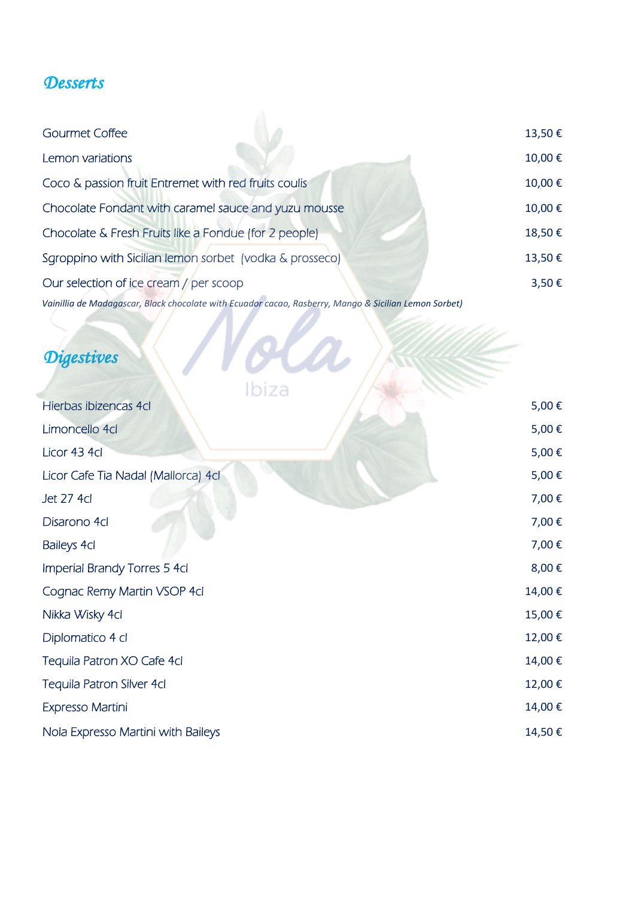#### *Desserts*

| Gourmet Coffee                                                                                        | 13,50€ |
|-------------------------------------------------------------------------------------------------------|--------|
| Lemon variations                                                                                      | 10,00€ |
| Coco & passion fruit Entremet with red fruits coulis                                                  | 10,00€ |
| Chocolate Fondant with caramel sauce and yuzu mousse                                                  | 10,00€ |
| Chocolate & Fresh Fruits like a Fondue (for 2 people)                                                 | 18,50€ |
| Sgroppino with Sicilian lemon sorbet (vodka & prosseco)                                               | 13,50€ |
| Our selection of ice cream / per scoop                                                                | 3,50€  |
| Vainillia de Madagascar, Black chocolate with Ecuador cacao, Rasberry, Mango & Sicilian Lemon Sorbet) |        |

#### *Digestives*

|                                     | Ibiza |        |
|-------------------------------------|-------|--------|
| Hierbas ibizencas 4cl               |       | 5,00€  |
| Limoncello 4cl                      |       | 5,00€  |
| Licor 43 4cl                        |       | 5,00€  |
| Licor Cafe Tia Nadal (Mallorca) 4cl |       | 5,00€  |
| Jet 27 4cl                          |       | 7,00€  |
| Disarono 4cl                        |       | 7,00€  |
| <b>Baileys 4cl</b>                  |       | 7,00€  |
| Imperial Brandy Torres 5 4cl        |       | 8,00€  |
| Cognac Remy Martin VSOP 4cl         |       | 14,00€ |
| Nikka Wisky 4cl                     |       | 15,00€ |
| Diplomatico 4 cl                    |       | 12,00€ |
| Tequila Patron XO Cafe 4cl          |       | 14,00€ |
| Tequila Patron Silver 4cl           |       | 12,00€ |
| Expresso Martini                    |       | 14,00€ |
| Nola Expresso Martini with Baileys  |       | 14,50€ |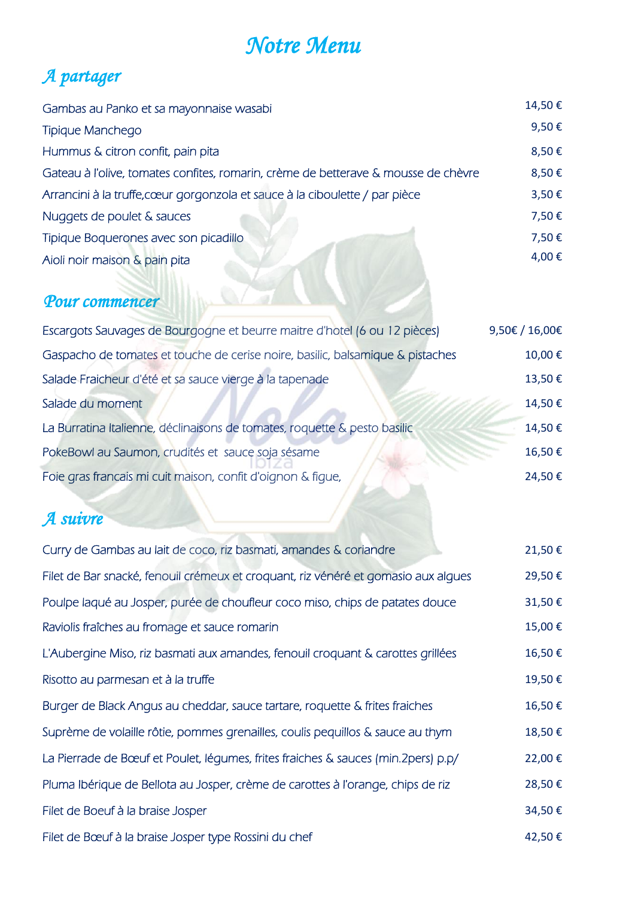### *Notre Menu*

## *A partager*

| Gambas au Panko et sa mayonnaise wasabi                                            | 14,50€ |
|------------------------------------------------------------------------------------|--------|
| Tipique Manchego                                                                   | 9,50€  |
| Hummus & citron confit, pain pita                                                  | 8,50€  |
| Gateau à l'olive, tomates confites, romarin, crème de betterave & mousse de chèvre | 8,50€  |
| Arrancini à la truffe, cœur gorgonzola et sauce à la ciboulette / par pièce        | 3,50€  |
| Nuggets de poulet & sauces                                                         | 7,50€  |
| Tipique Boquerones avec son picadillo                                              | 7,50€  |
| Aioli noir maison & pain pita                                                      | 4,00€  |
|                                                                                    |        |

 $\sim$  0/3

 $\overline{\phantom{a}}$ 

#### *Pour commencer*

| Escargots Sauvages de Bourgogne et beurre maitre d'hotel (6 ou 12 pièces)      | 9,50€ / 16,00€ |
|--------------------------------------------------------------------------------|----------------|
| Gaspacho de tomates et touche de cerise noire, basilic, balsamique & pistaches | 10,00€         |
| Salade Fraicheur d'été et sa sauce vierge à la tapenade                        | 13,50€         |
| Salade du moment                                                               | 14,50€         |
| La Burratina Italienne, déclinaisons de tomates, roquette & pesto basilic      | 14,50€         |
| PokeBowl au Saumon, crudités et sauce soja sésame                              | 16,50€         |
| Foie gras francais mi cuit maison, confit d'oignon & figue,                    | 24,50€         |
|                                                                                |                |

### *A suivre*

| Curry de Gambas au lait de coco, riz basmati, amandes & coriandre                  | 21,50€ |
|------------------------------------------------------------------------------------|--------|
| Filet de Bar snacké, fenouil crémeux et croquant, riz vénéré et gomasio aux alques | 29,50€ |
| Poulpe laqué au Josper, purée de choufleur coco miso, chips de patates douce       | 31,50€ |
| Raviolis fraîches au fromage et sauce romarin                                      | 15,00€ |
| L'Aubergine Miso, riz basmati aux amandes, fenouil croquant & carottes grillées    | 16,50€ |
| Risotto au parmesan et à la truffe                                                 | 19,50€ |
| Burger de Black Angus au cheddar, sauce tartare, roquette & frites fraiches        | 16,50€ |
| Suprème de volaille rôtie, pommes grenailles, coulis pequillos & sauce au thym     | 18,50€ |
| La Pierrade de Bœuf et Poulet, légumes, frites fraiches & sauces (min.2pers) p.p/  | 22,00€ |
| Pluma Ibérique de Bellota au Josper, crème de carottes à l'orange, chips de riz    | 28,50€ |
| Filet de Boeuf à la braise Josper                                                  | 34,50€ |
| Filet de Bœuf à la braise Josper type Rossini du chef                              | 42,50€ |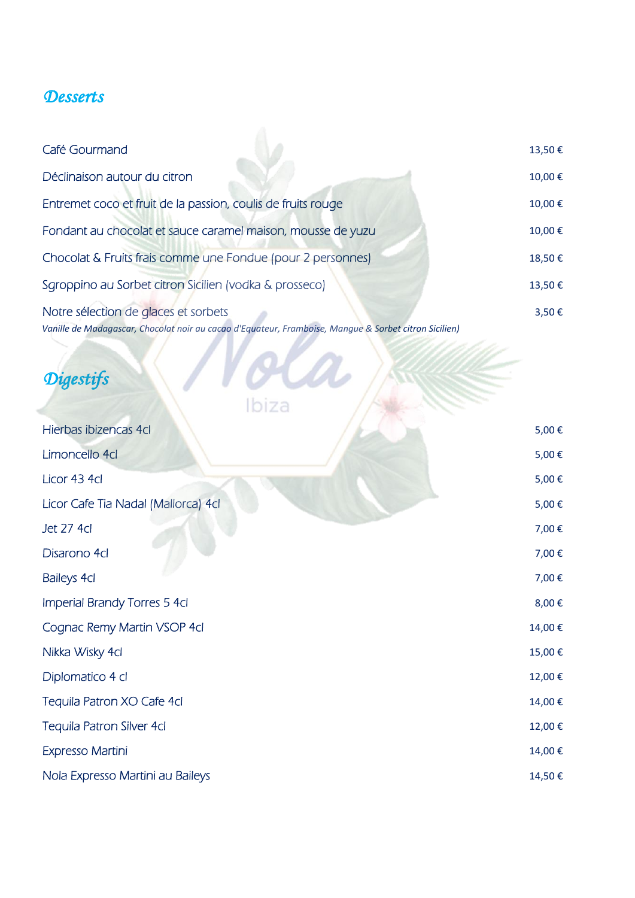#### *Desserts*

| Café Gourmand                                                                                                                                 | 13,50€ |
|-----------------------------------------------------------------------------------------------------------------------------------------------|--------|
| Déclinaison autour du citron                                                                                                                  | 10,00€ |
| Entremet coco et fruit de la passion, coulis de fruits rouge                                                                                  | 10,00€ |
| Fondant au chocolat et sauce caramel maison, mousse de yuzu                                                                                   | 10,00€ |
| Chocolat & Fruits frais comme une Fondue (pour 2 personnes)                                                                                   | 18,50€ |
| Sgroppino au Sorbet citron Sicilien (vodka & prosseco)                                                                                        | 13,50€ |
| Notre sélection de glaces et sorbets<br>Vanille de Madagascar, Chocolat noir au cacao d'Equateur, Framboise, Manque & Sorbet citron Sicilien) | 3,50€  |

# *Digestifs*

| chocorat non au cacao a Equation, rrampoise, mangae exposition siem |        |
|---------------------------------------------------------------------|--------|
| <b>Digestifs</b><br>Ibiza                                           |        |
| Hierbas ibizencas 4cl                                               | 5,00€  |
| Limoncello 4cl                                                      | 5,00€  |
| Licor 43 4cl                                                        | 5,00€  |
| Licor Cafe Tia Nadal (Mallorca) 4cl                                 | 5,00€  |
| <b>Jet 27 4cl</b>                                                   | 7,00€  |
| Disarono 4cl                                                        | 7,00€  |
| <b>Baileys 4cl</b>                                                  | 7,00€  |
| Imperial Brandy Torres 5 4cl                                        | 8,00€  |
| Cognac Remy Martin VSOP 4cl                                         | 14,00€ |
| Nikka Wisky 4cl                                                     | 15,00€ |
| Diplomatico 4 cl                                                    | 12,00€ |
| Tequila Patron XO Cafe 4cl                                          | 14,00€ |
| Tequila Patron Silver 4cl                                           | 12,00€ |
| Expresso Martini                                                    | 14,00€ |
| Nola Expresso Martini au Baileys                                    | 14,50€ |